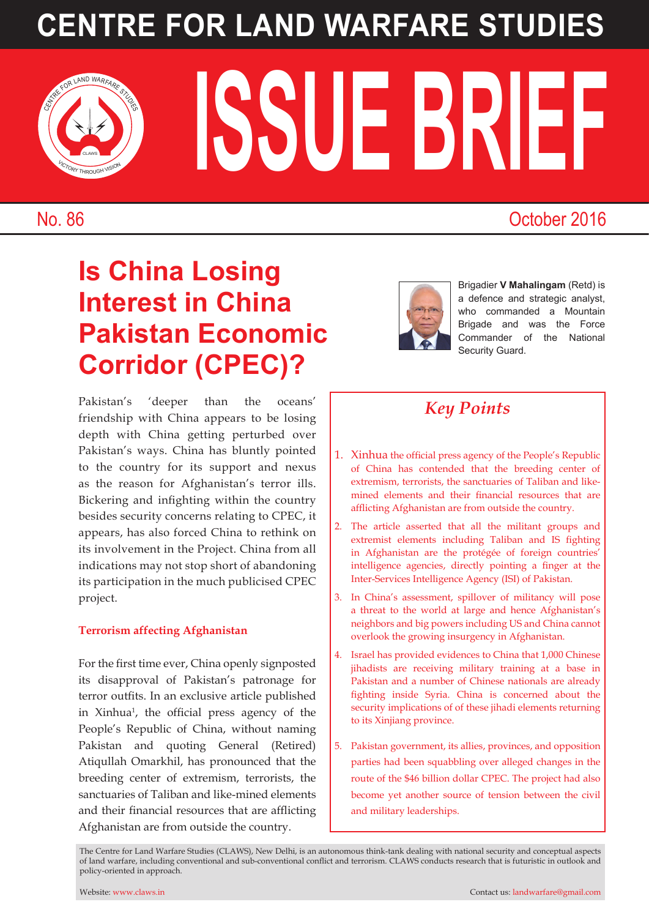# **CENTRE FOR LAND WARFARE STUDIES**



**ISSUE BRIEF** 

### No. 86 October 2016

## **Is China Losing Interest in China Pakistan Economic Corridor (CPEC)?**



Brigadier **V Mahalingam** (Retd) is a defence and strategic analyst, who commanded a Mountain Brigade and was the Force Commander of the National Security Guard.

Pakistan's 'deeper than the oceans' friendship with China appears to be losing depth with China getting perturbed over Pakistan's ways. China has bluntly pointed to the country for its support and nexus as the reason for Afghanistan's terror ills. Bickering and infighting within the country besides security concerns relating to CPEC, it appears, has also forced China to rethink on its involvement in the Project. China from all indications may not stop short of abandoning its participation in the much publicised CPEC project.

### **Terrorism affecting Afghanistan**

For the first time ever, China openly signposted its disapproval of Pakistan's patronage for terror outfits. In an exclusive article published in Xinhua<sup>1</sup>, the official press agency of the People's Republic of China, without naming Pakistan and quoting General (Retired) Atiqullah Omarkhil, has pronounced that the breeding center of extremism, terrorists, the sanctuaries of Taliban and like-mined elements and their financial resources that are afflicting Afghanistan are from outside the country.

### *Key Points*

- 1. Xinhua the official press agency of the People's Republic of China has contended that the breeding center of extremism, terrorists, the sanctuaries of Taliban and likemined elements and their financial resources that are afflicting Afghanistan are from outside the country.
- 2. The article asserted that all the militant groups and extremist elements including Taliban and IS fighting in Afghanistan are the protégée of foreign countries' intelligence agencies, directly pointing a finger at the Inter-Services Intelligence Agency (ISI) of Pakistan.
- 3. In China's assessment, spillover of militancy will pose a threat to the world at large and hence Afghanistan's neighbors and big powers including US and China cannot overlook the growing insurgency in Afghanistan.
- 4. Israel has provided evidences to China that 1,000 Chinese jihadists are receiving military training at a base in Pakistan and a number of Chinese nationals are already fighting inside Syria. China is concerned about the security implications of of these jihadi elements returning to its Xinjiang province.
- 5. Pakistan government, its allies, provinces, and opposition parties had been squabbling over alleged changes in the route of the \$46 billion dollar CPEC. The project had also become yet another source of tension between the civil and military leaderships.

The Centre for Land Warfare Studies (CLAWS), New Delhi, is an autonomous think-tank dealing with national security and conceptual aspects of land warfare, including conventional and sub-conventional conflict and terrorism. CLAWS conducts research that is futuristic in outlook and policy-oriented in approach.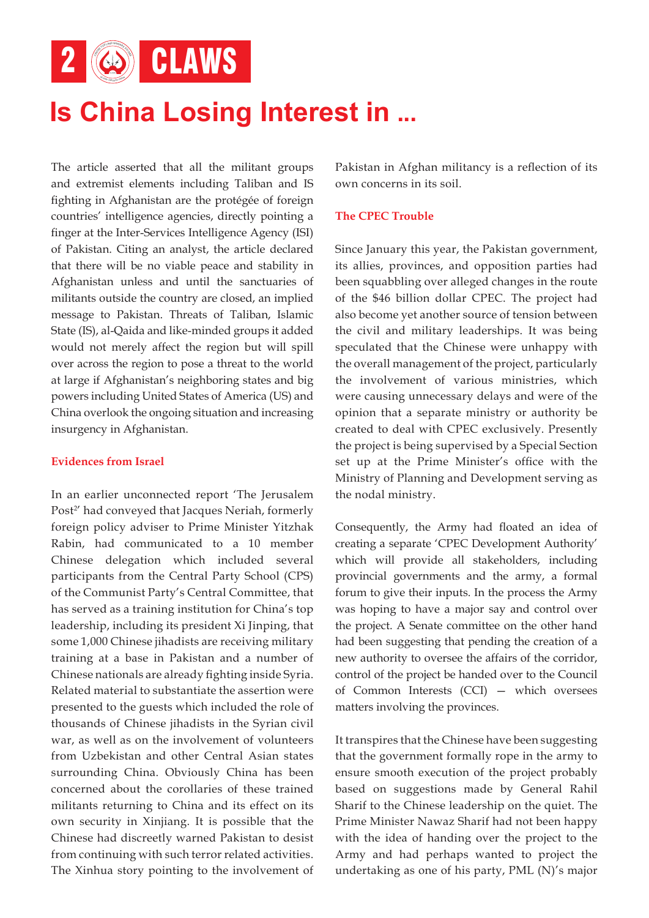2 6 CLAWS

# **Is China Losing Interest in ...**

The article asserted that all the militant groups and extremist elements including Taliban and IS fighting in Afghanistan are the protégée of foreign countries' intelligence agencies, directly pointing a finger at the Inter-Services Intelligence Agency (ISI) of Pakistan. Citing an analyst, the article declared that there will be no viable peace and stability in Afghanistan unless and until the sanctuaries of militants outside the country are closed, an implied message to Pakistan. Threats of Taliban, Islamic State (IS), al-Qaida and like-minded groups it added would not merely affect the region but will spill over across the region to pose a threat to the world at large if Afghanistan's neighboring states and big powers including United States of America (US) and China overlook the ongoing situation and increasing insurgency in Afghanistan.

#### **Evidences from Israel**

In an earlier unconnected report 'The Jerusalem Post<sup>2</sup>' had conveyed that Jacques Neriah, formerly foreign policy adviser to Prime Minister Yitzhak Rabin, had communicated to a 10 member Chinese delegation which included several participants from the Central Party School (CPS) of the Communist Party's Central Committee, that has served as a training institution for China's top leadership, including its president Xi Jinping, that some 1,000 Chinese jihadists are receiving military training at a base in Pakistan and a number of Chinese nationals are already fighting inside Syria. Related material to substantiate the assertion were presented to the guests which included the role of thousands of Chinese jihadists in the Syrian civil war, as well as on the involvement of volunteers from Uzbekistan and other Central Asian states surrounding China. Obviously China has been concerned about the corollaries of these trained militants returning to China and its effect on its own security in Xinjiang. It is possible that the Chinese had discreetly warned Pakistan to desist from continuing with such terror related activities. The Xinhua story pointing to the involvement of

Pakistan in Afghan militancy is a reflection of its own concerns in its soil.

#### **The CPEC Trouble**

Since January this year, the Pakistan government, its allies, provinces, and opposition parties had been squabbling over alleged changes in the route of the \$46 billion dollar CPEC. The project had also become yet another source of tension between the civil and military leaderships. It was being speculated that the Chinese were unhappy with the overall management of the project, particularly the involvement of various ministries, which were causing unnecessary delays and were of the opinion that a separate ministry or authority be created to deal with CPEC exclusively. Presently the project is being supervised by a Special Section set up at the Prime Minister's office with the Ministry of Planning and Development serving as the nodal ministry.

Consequently, the Army had floated an idea of creating a separate 'CPEC Development Authority' which will provide all stakeholders, including provincial governments and the army, a formal forum to give their inputs. In the process the Army was hoping to have a major say and control over the project. A Senate committee on the other hand had been suggesting that pending the creation of a new authority to oversee the affairs of the corridor, control of the project be handed over to the Council of Common Interests (CCI) — which oversees matters involving the provinces.

It transpires that the Chinese have been suggesting that the government formally rope in the army to ensure smooth execution of the project probably based on suggestions made by General Rahil Sharif to the Chinese leadership on the quiet. The Prime Minister Nawaz Sharif had not been happy with the idea of handing over the project to the Army and had perhaps wanted to project the undertaking as one of his party, PML (N)'s major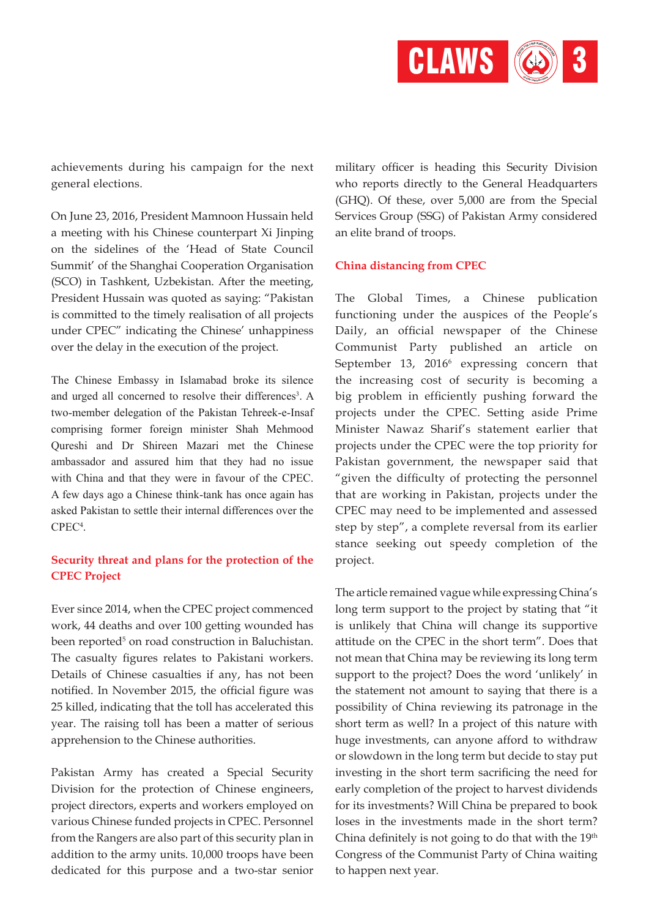

achievements during his campaign for the next general elections.

On June 23, 2016, President Mamnoon Hussain held a meeting with his Chinese counterpart Xi Jinping on the sidelines of the 'Head of State Council Summit' of the Shanghai Cooperation Organisation (SCO) in Tashkent, Uzbekistan. After the meeting, President Hussain was quoted as saying: "Pakistan is committed to the timely realisation of all projects under CPEC" indicating the Chinese' unhappiness over the delay in the execution of the project.

The Chinese Embassy in Islamabad broke its silence and urged all concerned to resolve their differences<sup>3</sup>. A two-member delegation of the Pakistan Tehreek-e-Insaf comprising former foreign minister Shah Mehmood Qureshi and Dr Shireen Mazari met the Chinese ambassador and assured him that they had no issue with China and that they were in favour of the CPEC. A few days ago a Chinese think-tank has once again has asked Pakistan to settle their internal differences over the CPEC<sup>4</sup> .

#### **Security threat and plans for the protection of the CPEC Project**

Ever since 2014, when the CPEC project commenced work, 44 deaths and over 100 getting wounded has been reported<sup>5</sup> on road construction in Baluchistan. The casualty figures relates to Pakistani workers. Details of Chinese casualties if any, has not been notified. In November 2015, the official figure was 25 killed, indicating that the toll has accelerated this year. The raising toll has been a matter of serious apprehension to the Chinese authorities.

Pakistan Army has created a Special Security Division for the protection of Chinese engineers, project directors, experts and workers employed on various Chinese funded projects in CPEC. Personnel from the Rangers are also part of this security plan in addition to the army units. 10,000 troops have been dedicated for this purpose and a two-star senior

military officer is heading this Security Division who reports directly to the General Headquarters (GHQ). Of these, over 5,000 are from the Special Services Group (SSG) of Pakistan Army considered an elite brand of troops.

#### **China distancing from CPEC**

The Global Times, a Chinese publication functioning under the auspices of the People's Daily, an official newspaper of the Chinese Communist Party published an article on September 13, 2016<sup>6</sup> expressing concern that the increasing cost of security is becoming a big problem in efficiently pushing forward the projects under the CPEC. Setting aside Prime Minister Nawaz Sharif's statement earlier that projects under the CPEC were the top priority for Pakistan government, the newspaper said that "given the difficulty of protecting the personnel that are working in Pakistan, projects under the CPEC may need to be implemented and assessed step by step", a complete reversal from its earlier stance seeking out speedy completion of the project.

The article remained vague while expressing China's long term support to the project by stating that "it is unlikely that China will change its supportive attitude on the CPEC in the short term". Does that not mean that China may be reviewing its long term support to the project? Does the word 'unlikely' in the statement not amount to saying that there is a possibility of China reviewing its patronage in the short term as well? In a project of this nature with huge investments, can anyone afford to withdraw or slowdown in the long term but decide to stay put investing in the short term sacrificing the need for early completion of the project to harvest dividends for its investments? Will China be prepared to book loses in the investments made in the short term? China definitely is not going to do that with the 19<sup>th</sup> Congress of the Communist Party of China waiting to happen next year.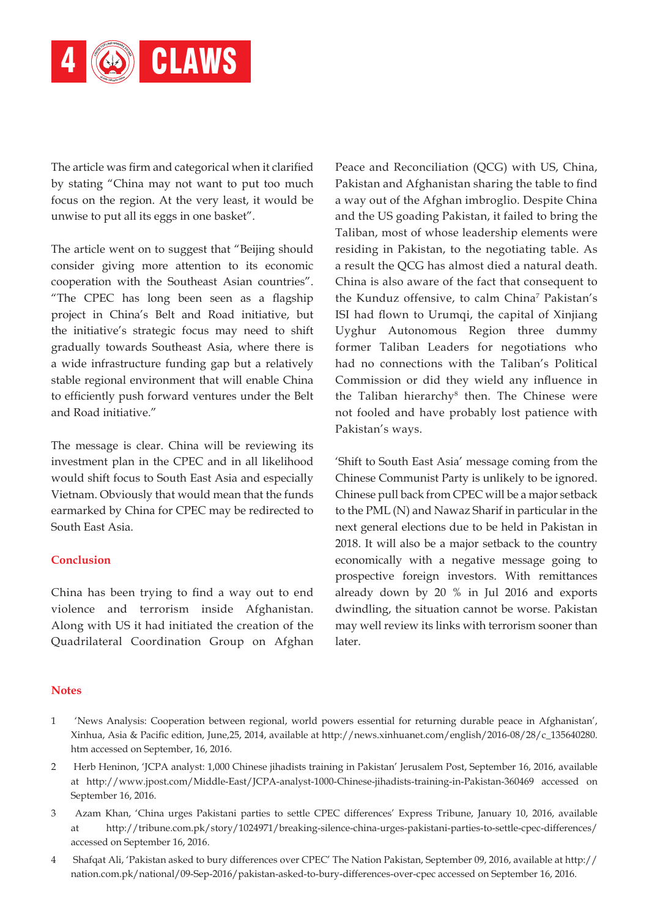

The article was firm and categorical when it clarified by stating "China may not want to put too much focus on the region. At the very least, it would be unwise to put all its eggs in one basket".

The article went on to suggest that "Beijing should consider giving more attention to its economic cooperation with the Southeast Asian countries". "The CPEC has long been seen as a flagship project in China's Belt and Road initiative, but the initiative's strategic focus may need to shift gradually towards Southeast Asia, where there is a wide infrastructure funding gap but a relatively stable regional environment that will enable China to efficiently push forward ventures under the Belt and Road initiative."

The message is clear. China will be reviewing its investment plan in the CPEC and in all likelihood would shift focus to South East Asia and especially Vietnam. Obviously that would mean that the funds earmarked by China for CPEC may be redirected to South East Asia.

#### **Conclusion**

China has been trying to find a way out to end violence and terrorism inside Afghanistan. Along with US it had initiated the creation of the Quadrilateral Coordination Group on Afghan Peace and Reconciliation (QCG) with US, China, Pakistan and Afghanistan sharing the table to find a way out of the Afghan imbroglio. Despite China and the US goading Pakistan, it failed to bring the Taliban, most of whose leadership elements were residing in Pakistan, to the negotiating table. As a result the QCG has almost died a natural death. China is also aware of the fact that consequent to the Kunduz offensive, to calm China<sup>7</sup> Pakistan's ISI had flown to Urumqi, the capital of Xinjiang Uyghur Autonomous Region three dummy former Taliban Leaders for negotiations who had no connections with the Taliban's Political Commission or did they wield any influence in the Taliban hierarchy<sup>8</sup> then. The Chinese were not fooled and have probably lost patience with Pakistan's ways.

'Shift to South East Asia' message coming from the Chinese Communist Party is unlikely to be ignored. Chinese pull back from CPEC will be a major setback to the PML (N) and Nawaz Sharif in particular in the next general elections due to be held in Pakistan in 2018. It will also be a major setback to the country economically with a negative message going to prospective foreign investors. With remittances already down by 20 % in Jul 2016 and exports dwindling, the situation cannot be worse. Pakistan may well review its links with terrorism sooner than later.

#### **Notes**

- 1 'News Analysis: Cooperation between regional, world powers essential for returning durable peace in Afghanistan', Xinhua, Asia & Pacific edition, June,25, 2014, available at http://news.xinhuanet.com/english/2016-08/28/c\_135640280. htm accessed on September, 16, 2016.
- 2 Herb Heninon, 'JCPA analyst: 1,000 Chinese jihadists training in Pakistan' Jerusalem Post, September 16, 2016, available at http://www.jpost.com/Middle-East/JCPA-analyst-1000-Chinese-jihadists-training-in-Pakistan-360469 accessed on September 16, 2016.
- 3 Azam Khan, 'China urges Pakistani parties to settle CPEC differences' Express Tribune, January 10, 2016, available at http://tribune.com.pk/story/1024971/breaking-silence-china-urges-pakistani-parties-to-settle-cpec-differences/ accessed on September 16, 2016.
- 4 Shafqat Ali, 'Pakistan asked to bury differences over CPEC' The Nation Pakistan, September 09, 2016, available at http:// nation.com.pk/national/09-Sep-2016/pakistan-asked-to-bury-differences-over-cpec accessed on September 16, 2016.